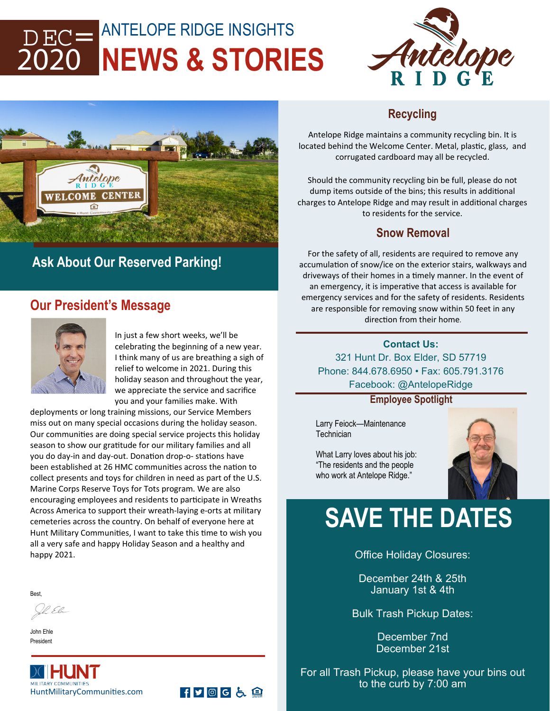## ANTELOPE RIDGE INSIGHTS **NEWS & STORIES**  DEC= 2020





# **Ask About Our Reserved Parking!**

## **Our President's Message**



In just a few short weeks, we'll be celebrating the beginning of a new year. I think many of us are breathing a sigh of relief to welcome in 2021. During this holiday season and throughout the year, we appreciate the service and sacrifice you and your families make. With

FYOGL自

deployments or long training missions, our Service Members miss out on many special occasions during the holiday season. Our communities are doing special service projects this holiday season to show our gratitude for our military families and all you do day-in and day-out. Donation drop-o- stations have been established at 26 HMC communities across the nation to collect presents and toys for children in need as part of the U.S. Marine Corps Reserve Toys for Tots program. We are also encouraging employees and residents to participate in Wreaths Across America to support their wreath‐laying e‐orts at military cemeteries across the country. On behalf of everyone here at Hunt Military Communities, I want to take this time to wish you all a very safe and happy Holiday Season and a healthy and happy 2021.

**Best** 

Il El

John Ehle President



#### **Recycling**

Antelope Ridge maintains a community recycling bin. It is located behind the Welcome Center. Metal, plastic, glass, and corrugated cardboard may all be recycled.

Should the community recycling bin be full, please do not dump items outside of the bins; this results in additional charges to Antelope Ridge and may result in additional charges to residents for the service.

#### **Snow Removal**

For the safety of all, residents are required to remove any accumulation of snow/ice on the exterior stairs, walkways and driveways of their homes in a timely manner. In the event of an emergency, it is imperative that access is available for emergency services and for the safety of residents. Residents are responsible for removing snow within 50 feet in any direction from their home.

#### **Contact Us:**  321 Hunt Dr. Box Elder, SD 57719 Phone: 844.678.6950 • Fax: 605.791.3176 Facebook: @AntelopeRidge

**Employee Spotlight** 

Larry Feiock—Maintenance **Technician** 



What Larry loves about his job: "The residents and the people who work at Antelope Ridge."

# **SAVE THE DATES**

Office Holiday Closures:

December 24th & 25th January 1st & 4th

Bulk Trash Pickup Dates:

December 7nd December 21st

For all Trash Pickup, please have your bins out to the curb by 7:00 am